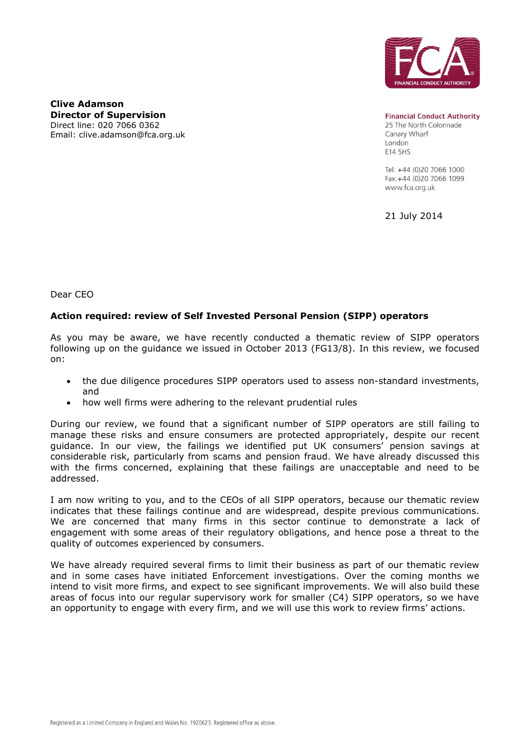

**Clive Adamson Director of Supervision**  Direct line: 020 7066 0362 Email: clive.adamson@fca.org.uk

**Financial Conduct Authority** 25 The North Colonnade Canary Wharf London E14 5HS

Tel: +44 (0)20 7066 1000 Fax: +44 (0)20 7066 1099 www.fca.org.uk

21 July 2014

Dear CEO

## **Action required: review of Self Invested Personal Pension (SIPP) operators**

As you may be aware, we have recently conducted a thematic review of SIPP operators following up on the guidance we issued in October 2013 (FG13/8). In this review, we focused on:

- the due diligence procedures SIPP operators used to assess non-standard investments, and
- how well firms were adhering to the relevant prudential rules

During our review, we found that a significant number of SIPP operators are still failing to manage these risks and ensure consumers are protected appropriately, despite our recent guidance. In our view, the failings we identified put UK consumers' pension savings at considerable risk, particularly from scams and pension fraud. We have already discussed this with the firms concerned, explaining that these failings are unacceptable and need to be addressed.

I am now writing to you, and to the CEOs of all SIPP operators, because our thematic review indicates that these failings continue and are widespread, despite previous communications. We are concerned that many firms in this sector continue to demonstrate a lack of engagement with some areas of their regulatory obligations, and hence pose a threat to the quality of outcomes experienced by consumers.

We have already required several firms to limit their business as part of our thematic review and in some cases have initiated Enforcement investigations. Over the coming months we intend to visit more firms, and expect to see significant improvements. We will also build these areas of focus into our regular supervisory work for smaller (C4) SIPP operators, so we have an opportunity to engage with every firm, and we will use this work to review firms' actions.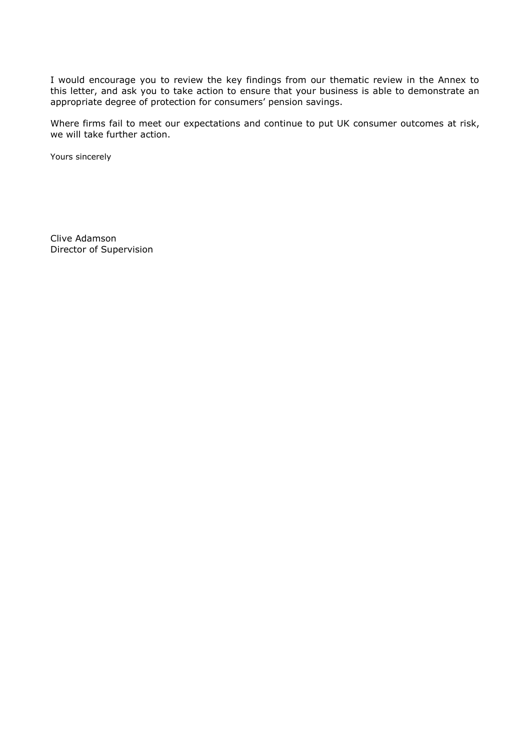I would encourage you to review the key findings from our thematic review in the Annex to this letter, and ask you to take action to ensure that your business is able to demonstrate an appropriate degree of protection for consumers' pension savings.

Where firms fail to meet our expectations and continue to put UK consumer outcomes at risk, we will take further action.

Yours sincerely

Clive Adamson Director of Supervision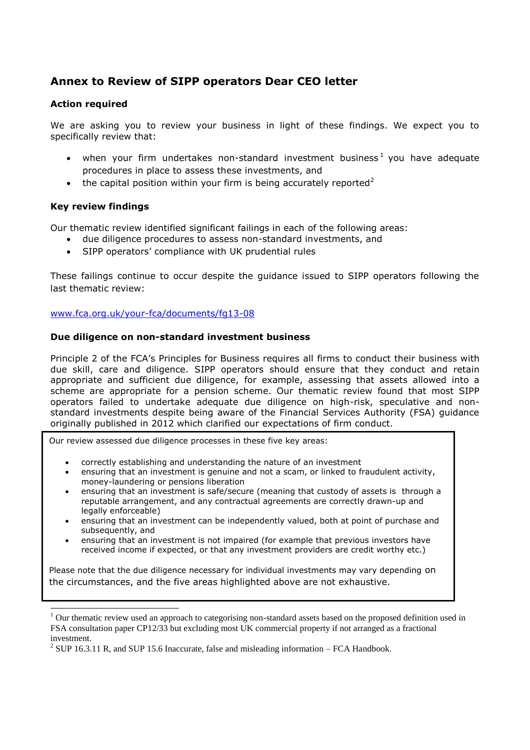# **Annex to Review of SIPP operators Dear CEO letter**

### **Action required**

We are asking you to review your business in light of these findings. We expect you to specifically review that:

- when your firm undertakes non-standard investment business<sup>1</sup> you have adequate procedures in place to assess these investments, and
- the capital position within your firm is being accurately reported<sup>2</sup>

### **Key review findings**

Our thematic review identified significant failings in each of the following areas:

- due diligence procedures to assess non-standard investments, and
- SIPP operators' compliance with UK prudential rules

These failings continue to occur despite the guidance issued to SIPP operators following the last thematic review:

[www.fca.org.uk/your-fca/documents/fg13-08](http://www.fca.org.uk/your-fca/documents/fg13-08)

#### **Due diligence on non-standard investment business**

Principle 2 of the FCA's Principles for Business requires all firms to conduct their business with due skill, care and diligence. SIPP operators should ensure that they conduct and retain appropriate and sufficient due diligence, for example, assessing that assets allowed into a scheme are appropriate for a pension scheme. Our thematic review found that most SIPP operators failed to undertake adequate due diligence on high-risk, speculative and nonstandard investments despite being aware of the Financial Services Authority (FSA) guidance originally published in 2012 which clarified our expectations of firm conduct.

Our review assessed due diligence processes in these five key areas:

- correctly establishing and understanding the nature of an investment
- ensuring that an investment is genuine and not a scam, or linked to fraudulent activity, money-laundering or pensions liberation
- ensuring that an investment is safe/secure (meaning that custody of assets is through a reputable arrangement, and any contractual agreements are correctly drawn-up and legally enforceable)
- ensuring that an investment can be independently valued, both at point of purchase and subsequently, and
- ensuring that an investment is not impaired (for example that previous investors have received income if expected, or that any investment providers are credit worthy etc.)

Please note that the due diligence necessary for individual investments may vary depending on the circumstances, and the five areas highlighted above are not exhaustive.

 $<sup>1</sup>$  Our thematic review used an approach to categorising non-standard assets based on the proposed definition used in</sup> FSA consultation paper CP12/33 but excluding most UK commercial property if not arranged as a fractional investment.

 $2^{2}$  SUP 16.3.11 R, and SUP 15.6 Inaccurate, false and misleading information – FCA Handbook.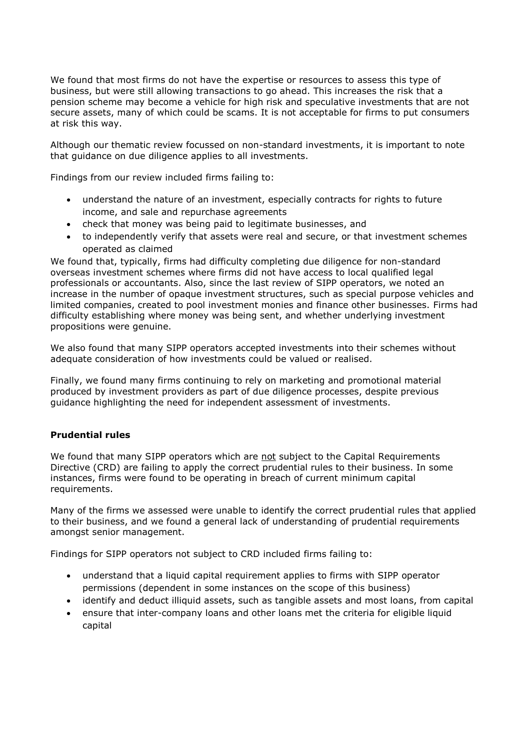We found that most firms do not have the expertise or resources to assess this type of business, but were still allowing transactions to go ahead. This increases the risk that a pension scheme may become a vehicle for high risk and speculative investments that are not secure assets, many of which could be scams. It is not acceptable for firms to put consumers at risk this way.

Although our thematic review focussed on non-standard investments, it is important to note that guidance on due diligence applies to all investments.

Findings from our review included firms failing to:

- understand the nature of an investment, especially contracts for rights to future income, and sale and repurchase agreements
- check that money was being paid to legitimate businesses, and
- to independently verify that assets were real and secure, or that investment schemes operated as claimed

We found that, typically, firms had difficulty completing due diligence for non-standard overseas investment schemes where firms did not have access to local qualified legal professionals or accountants. Also, since the last review of SIPP operators, we noted an increase in the number of opaque investment structures, such as special purpose vehicles and limited companies, created to pool investment monies and finance other businesses. Firms had difficulty establishing where money was being sent, and whether underlying investment propositions were genuine.

We also found that many SIPP operators accepted investments into their schemes without adequate consideration of how investments could be valued or realised.

Finally, we found many firms continuing to rely on marketing and promotional material produced by investment providers as part of due diligence processes, despite previous guidance highlighting the need for independent assessment of investments.

## **Prudential rules**

We found that many SIPP operators which are not subject to the Capital Requirements Directive (CRD) are failing to apply the correct prudential rules to their business. In some instances, firms were found to be operating in breach of current minimum capital requirements.

Many of the firms we assessed were unable to identify the correct prudential rules that applied to their business, and we found a general lack of understanding of prudential requirements amongst senior management.

Findings for SIPP operators not subject to CRD included firms failing to:

- understand that a liquid capital requirement applies to firms with SIPP operator permissions (dependent in some instances on the scope of this business)
- identify and deduct illiquid assets, such as tangible assets and most loans, from capital
- ensure that inter-company loans and other loans met the criteria for eligible liquid capital